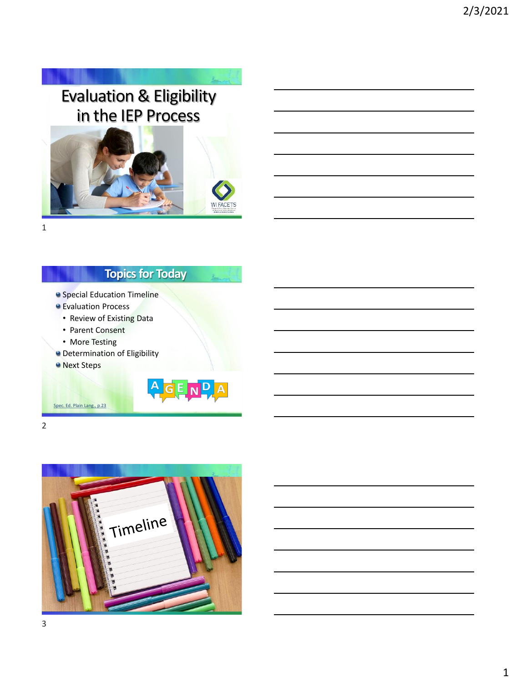# Evaluation & Eligibility in the IEP Process

 $\lambda_{\rm max}$ 



1

# **Topics for Today**

- **Special Education Timeline**
- Evaluation Process
	- Review of Existing Data
	- Parent Consent
- More Testing
- **O** Determination of Eligibility
- **O** Next Steps

[Spec. Ed. Plain Lang., p.23](https://www.wsems.us/special-education-in-plain-language/)



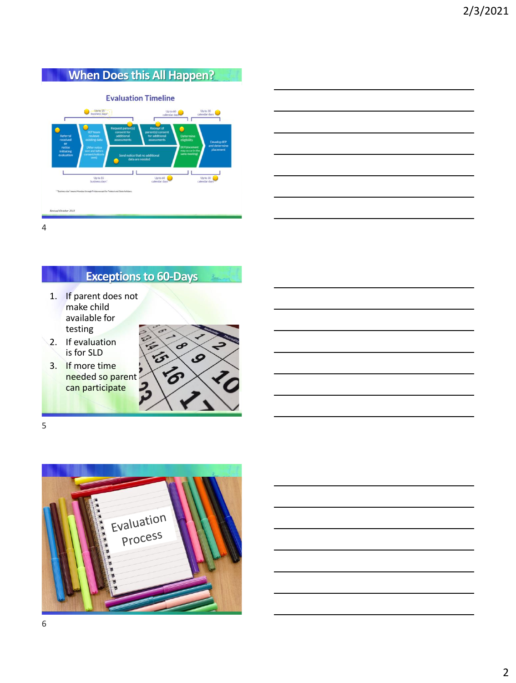# **When Does this All Happen?**

#### **Evaluation Timeline**



**Exceptions to 60-Days**

- 1. If parent does not make child available for testing
- 2. If evaluation is for SLD
- 3. If more time needed so parent can participate



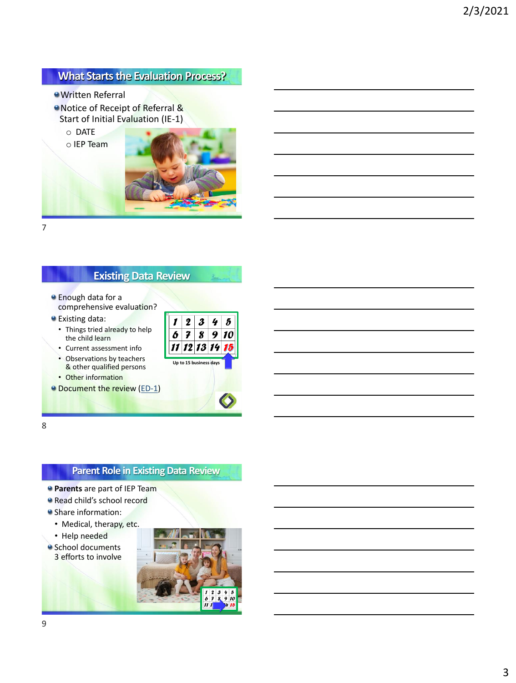#### **What Starts the Evaluation Process?**

Written Referral

● Notice of Receipt of Referral & Start of Initial Evaluation (IE-1)





7

#### **Existing Data Review**

- **a** Enough data for a comprehensive evaluation?
- Existing data:
	- Things tried already to help the child learn
	- Current assessment info
	- Observations by teachers & other qualified persons
	- Other information
- **O** Document the review [\(ED-1\)](https://dpi.wi.gov/sped/laws-procedures-bulletins/procedures/sample/forms)



8

#### **Parent Role in Existing Data Review**

- **Parents** are part of IEP Team
- Read child's school record
- **Share information:** 
	- Medical, therapy, etc.
	- Help needed
- **School documents** 3 efforts to involve

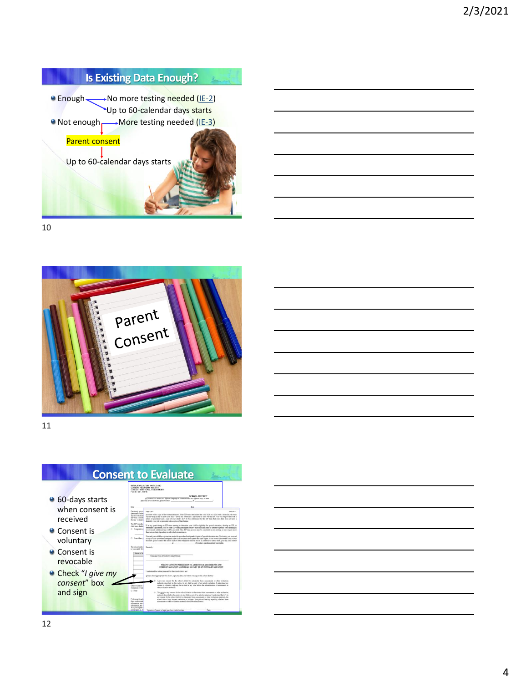

10





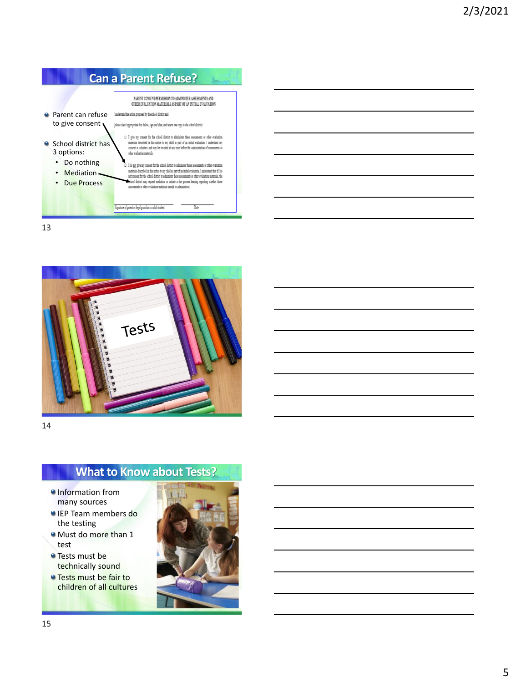

13



14

# **What to Know about Tests?**

- **O**Information from many sources
- **IEP Team members do** the testing
- Must do more than 1 test
- **Tests must be** technically sound
- **O** Tests must be fair to children of all cultures

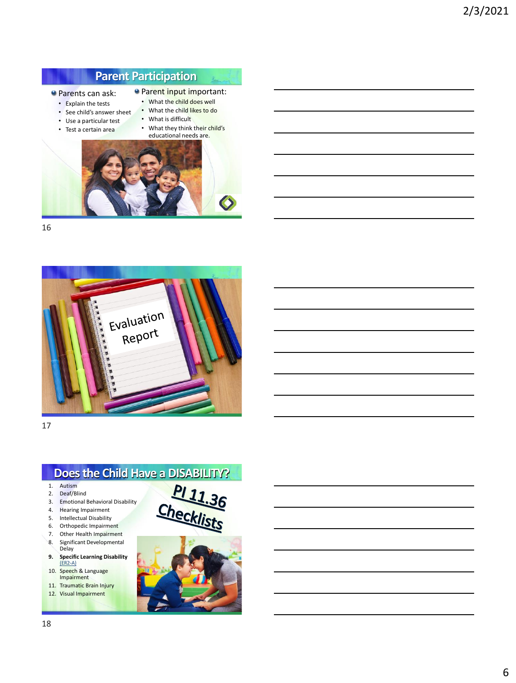# **Parent Participation**

- **Parents can ask:**
- **Parent input important:** • What the child does well
- Explain the tests
- See child's answer sheet • What the child likes to do
- Use a particular test
- What is difficult<br>• What they think • What they think their child's



16





- 10. Speech & Language Impairment
- 11. Traumatic Brain Injury 12. Visual Impairment

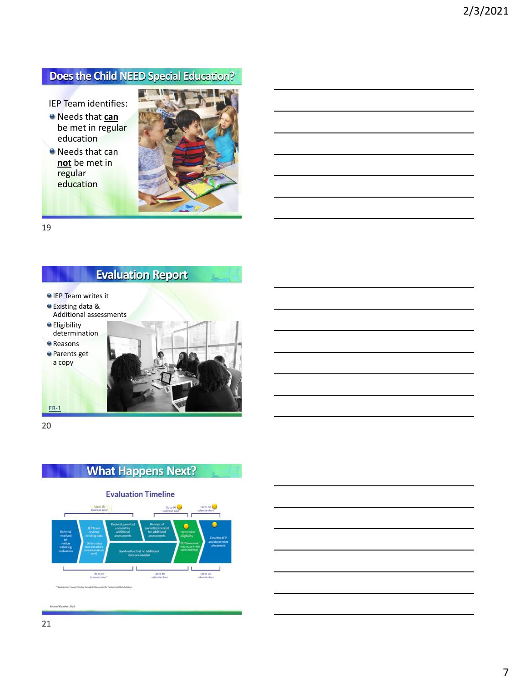#### **Does the Child NEED Special Education?**

IEP Team identifies:

- Needs that **can** be met in regular education
- Needs that can **not** be met in regular education



19

#### **Evaluation Report**

- IEP Team writes it
- Existing data &
- Additional assessments **e** Eligibility

determination

**e** Reasons

Parents get a copy



20

[ER-1](https://dpi.wi.gov/sped/laws-procedures-bulletins/procedures/sample/forms)



Revised October 2018